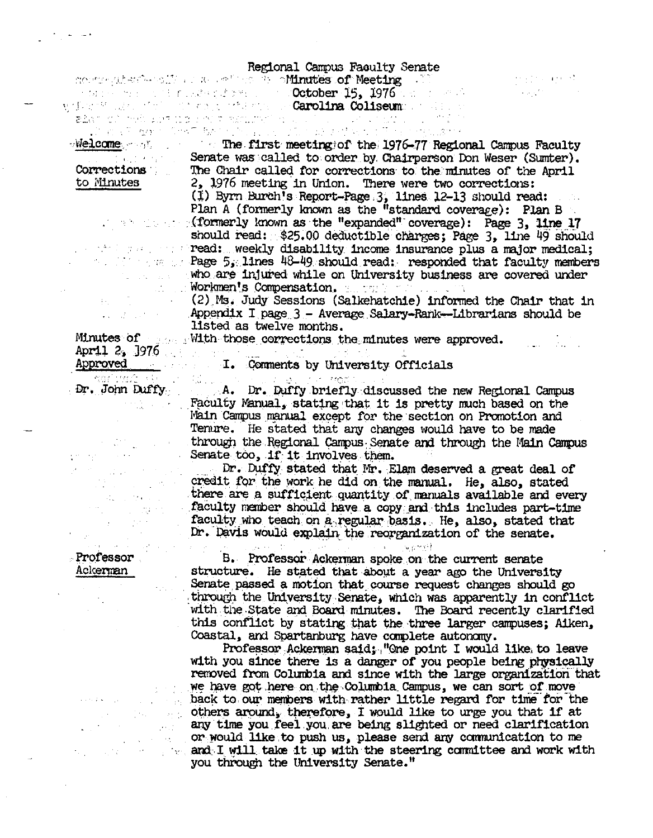#### Regional Campus Faoulty Senate

• I r economic standard in a second contract of Meeting  $\sim$   $\mathbb{N}$ 

 $\mathbb{Q} = \mathbb{R}$ 

October 15, 1976 Carolina Collseun · I.,  $\sim 10^{10}$ 

Corrections **\*** to Minutes

,, . ..

 $\mathcal{L}^{(1)}$  and  $\mathcal{L}^{(2)}$ 

Welcome ... **The first meeting of the 1976-77 Regional Campus Faculty** Senate was called to order by. Chairperson Don Weser (Sumter). The Chair called for corrections to the minutes of the April 2, l976 meeting in Union. There were two corrections: (l) Byrn Burch's Report-Page.3, lines. 12-13 should read: Plan A (formerly known as the "standard coverage): Plan B **Expanded**<sup>1</sup> coverage): Page 3, line 17 should read: \$25.00 deductible charges; Page 3, line 49 should read: . weekly disability income insurance plus a major medical; Page 5, lines 48-49 should read: responded that faculty members who are injured while on University business are covered under Workmen's Compensation.

Worl<men1.s Compensation, . (2) Ms, Judy Sessions (3alkehatchie) informed the Chair that in Appendix I page  $3$  - Average Salary-Rank-Librarians should be listed as twelve months. listed as twelve months. With those corrections the minutes were approved.

Minutes or April 2, ]976

**Constitution**  $Dr$ , John Duffy

> $\Delta \sim 10^{11}$  and  $\Delta \sim 10^{11}$ and the state of a na stati

> > $\mathcal{L}^{\mathcal{L}}$

 $\label{eq:2} \mathcal{L} = \mathcal{L} \left( \mathcal{L} \right) \mathcal{L} \left( \mathcal{L} \right) \mathcal{L} \left( \mathcal{L} \right)$ 

Approved I. Comments by University Officials الله المعامل التي تمثل التي تكون المعامل التي تمثل المعامل المعامل المعامل المعامل المعامل المعامل

 $\mathbb{R}^n$  . As a subset of  $\mathbb{R}^n$ 

.. A. Dr, Dµffy briefly discussed the new Regional Campus Faculty Manual, stating that it is pretty much based on the Main Campus manual except for the section on Promotion and Tenure. He stated that arw changes would have to be made through the Regional Campus Senate and through the Main Campus Senate too, if it involves them.

Dr. Duffy stated that Mr. Elam deserved a great deal of credit for the work he did on the manual. He, also, stated there are a sufficient quantity of manuals available and every the faculty member should have a copy and this includes part-time faculty who teach on a regular basis.. He, also, stated that Dr. Davis would explain the reorganization of the senate.

B. Professor Ackerman spoke on the current senate structure. He stated that about a year ago the University Senate passed a motion that\_ course request changes should go through the University Senate, which was apparently in conflict with the State and Board minutes. The Board recently clarified this conflict by stating that the three larger campuses; Aiken, Coastal, and Spartanburg have complete autonomy.

Professor Ackerman said; "One point I would like to leave with you since there is a danger of you people being physically removed from Columbia and since with the large organization that We have got here on the Columbia Campus, we can sort of move . back to our members with rather little regard for time for the others around, therefore, I would like to urge you that if at any time you feel.you are being slighted or need clarification or would like to push us, please send any communication to me and I will take it up with the steering committee and work with you through the University senate."

# Professor Acl<ennan

المتحاول المتعاونة والمحافظ

 $\mathcal{A}^{(1)}$  ,  $\mathcal{A}^{(2)}$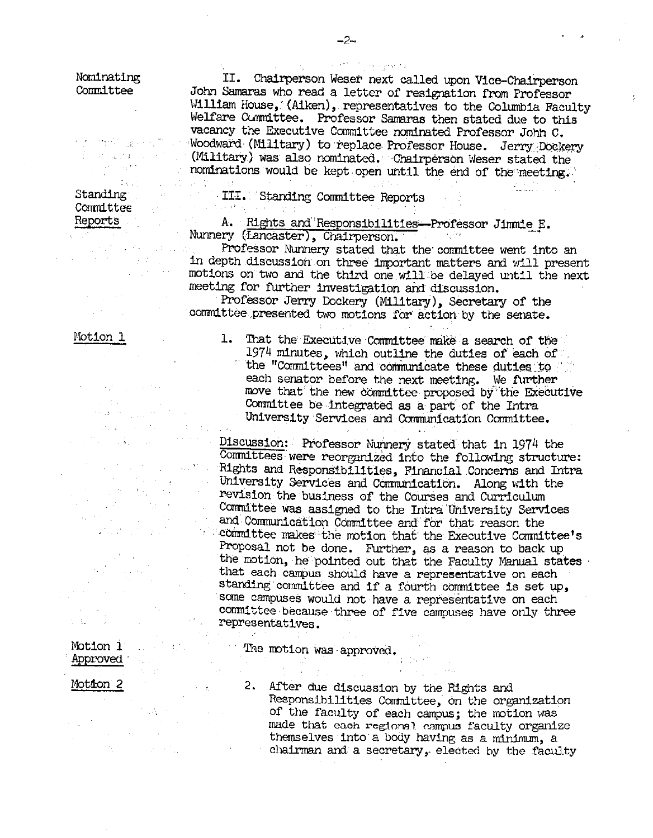Nominating Comnittee

**Committee** Reports

これが、風の人物 リイ A Service Provident

and provide a control

 $\label{eq:2.1} \frac{1}{\sqrt{2}}\left(\frac{2\pi}{\pi}\right)^2\left(\frac{1}{2}\right)^2\left(\frac{1}{2}\right)^2\left(\frac{1}{2}\right)^2\left(\frac{1}{2}\right)^2.$ 

 $\sim 10^{11}$  K

 $\sim 200$ 

State of the Control of Card

 $\label{eq:2} \begin{split} \mathcal{L}_{\text{eff}}^{\text{1}} & = \frac{1}{2} \sum_{i=1}^{N} \frac{1}{\left( \mathcal{L}_{\text{eff}}^{\text{1}} \right)^{2}} \left( \mathcal{L}_{\text{eff}}^{\text{1}} \right)^{2} \mathcal{L}_{\text{eff}}^{\text{1}} \right) \, . \end{split}$ 

 $\alpha$  and  $\beta$ 

 $\Delta\sigma = \Delta\sqrt{2\pi}$  , where  $\Delta\sigma$ 

II. Chairperson Weser next called upon Vice-Chairperson John Samaras who read a letter of resignation from Professor William House, (Aiken), representatives to the Columbia Faculty Welfare Committee. Professor Samaras then stated due to this vacancy the Executive Committee nominated Professor Johh C. Woodward (Military) to replace Professor House. Jerry: Dockery  $\sim 10^6$ (Military) was also nominated. Chairperson Weser stated the nominations would be kept open until the end of the meeting.  $\sim 10^6$ Standing

· III.. Standing Comnittee Reports

A. Rights and Responsibilities---Professor Jimmie E. Nunnery (Lancaster), Chairperson.

ide in de jour Professor Nunnery stated that the committee went into an in depth discussion on three irrportant matters and will present motions on two and the third one will be delayed until the next meeting for further investigation and discussion.

Professor Jerry Dockery (Military), Secretary of the comnittee.presented two motions for action by the senate.

# Motion 1

 $\label{eq:2.1} \sqrt{1-\frac{1}{2}\left(\frac{1}{2}\right)^2} \left(\frac{1}{2}-\frac{1}{2}\right)^2 = \frac{1}{2} \left(\frac{1}{2}-\frac{1}{2}\right)^2$ 

1. That the Executive Committee make a search of the 1974 minutes, which outline the duties of each of the "Committees" and communicate these duties to each senator before the next meeting. We further move that the new committee proposed by the Executive Committee be integrated as a part of the Intra University Services and Communication Comnittee.

Discussion: Professor Nunnery\_stated that in 1974 the Comnittees were reorganized into the following structure: Rights and Responsibilities, Financial Concerns and Intra University Services and Communication. Along with the revision the business of the Courses and curriculum Corrrnittee was assigned to the Intra University Services and Communication Committee and for that reason the committee makes' the motion that the Executive Committee's Proposal not be done. Further, as a reason to back up the motion, he pointed out that the Faculty Manual states the motion, he pointed out that the Faculty Manual **states** · that each campus should have a representative on .each standing committee and if a fourth committee is set up, some campuses would not have a representative on each some campuses would not have a representative on each committee because three of five campuses have only three representatives.

IVbtion 1 Approved<sub>·</sub>

W.

Motion 2

The motion was approved.

in a N  $\lambda = 3\%$ 

2. After due discussion by the Rights and Responsibilities Committee, on the organization of the faculty of each campus; the motion was made that each regional campus faculty organize themselves into a body having as a minimum, a chairman and a secretary, elected by the faculty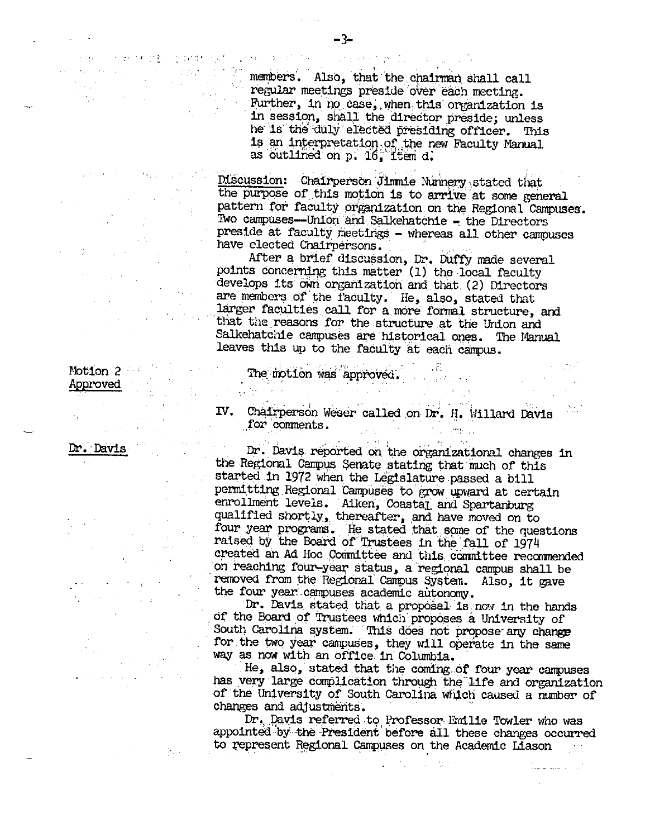members. Also, that the chairman shall call regular meetings preside over each meeting. Further, in no case, when this organization is in session, shall the director preside; unless in session, shall the director preside; unless<br>he is the duly elected presiding officer. This is an interpretation of the new Faculty Manual as outlined on p; 16; item d.

 $\mathcal{P}$  is a set of  $P$  . In the  $\mathcal{P}$  -set of  $\mathcal{P}$  , and  $\mathcal{P}$ 

Discussion: Chairperson Jimmie Nunnery stated that<br>the purpose of this motion is to arrive at some general pattern for faculty organization on the Regional Campuses. Two campuses--Union and Salkehatchie. the Directors preside at faculty meetings - whereas all other campuses have elected Chairpersons.

After a brief discussion, Dr. Duffy made several points concerning this matter (1) the local faculty develops its own organization and that. (2) Directors are members of the faculty. He, also, stated that larger faculties call for a more formal structure, and that the reasons for the structure at the Union and Salkehatchie campuses are historical ones. The Manual leaves this up to the faculty at each campus.

# The motion was approved.

IV. Chairperson Weser' called on Dr. H. Willard Davis . for comments.

Dr. Davis reported on the organizational changes in the Regional Campus Senate stating that much of this started.in 1972 when the Legislature passed a bill permitting Regional Campuses to grow upward at certain enrollment levels. Aiken, Coastal and Spartanburg qualified shortly, thereafter, and have moved on to four year programs. He stated that some of the questions raised by the Board of Trustees in the fall of 1974 created an Ad Hoc Committee and this committee recommended on reaching four-year status, a regional campus shall be

removed from the Regional Campus System. Also, it gave<br>the four year campuses academic autonomy.<br>Dr. Davis stated that a proposal is now in the hands<br>of the Board of Trustees which proposes a University of<br>South Carolina s for the two year campuses, they will operate in the same way as now with an office in Columbia.

He, also, stated that the coming of four year campuses<br>has very large complication through the life and organization<br>of the University of South Carolina which caused a number of<br>changes and adjustments.

Dr. Davis referred to Professor Emilie Towler who was appointed by the President before all these changes occurred to represent Regional Campuses on the Academic Liason

**STATE STATE** 

ta Lambara

Motion  $2$   $\cdots$   $\cdots$ Approved and the set of the set of the set of the set of the set of the set of the set of the set of the set of the set of the set of the set of the set of the set of the set of the set of the set of the set of the set of  $\mathcal{M}(\mathcal{A})$ 

 $\mathcal{A}=\mathcal{A}(\mathcal{A})^{\mathrm{int}}$ 

J.  $\mathbb{Z}^2$ 

 $\mathbf{a} = \left\{ \begin{array}{ll} 0 & \text{if} \ \mathbf{a} \neq \mathbf{0} \end{array} \right.$ 

l. in T

 $\mathcal{F}^{\mathcal{A}}$  , we can also also also the  $\mathcal{F}^{\mathcal{A}}$ 

 $\mathcal{H}_{\mathrm{G},\mathrm{G}}$ 

**.** *in the pice prompt* (b)

 $\label{eq:2.1} \frac{d\mathbf{y}}{dt} = \frac{1}{2} \sum_{i=1}^n \frac{d\mathbf{y}}{dt} \frac{d\mathbf{y}}{dt} = \frac{1}{2} \sum_{i=1}^n \frac{d\mathbf{y}}{dt} \frac{d\mathbf{y}}{dt}$ 

#### Dr. Davis

 $\mathcal{O}(\log n)$  , and  $\mathcal{O}(\log n)$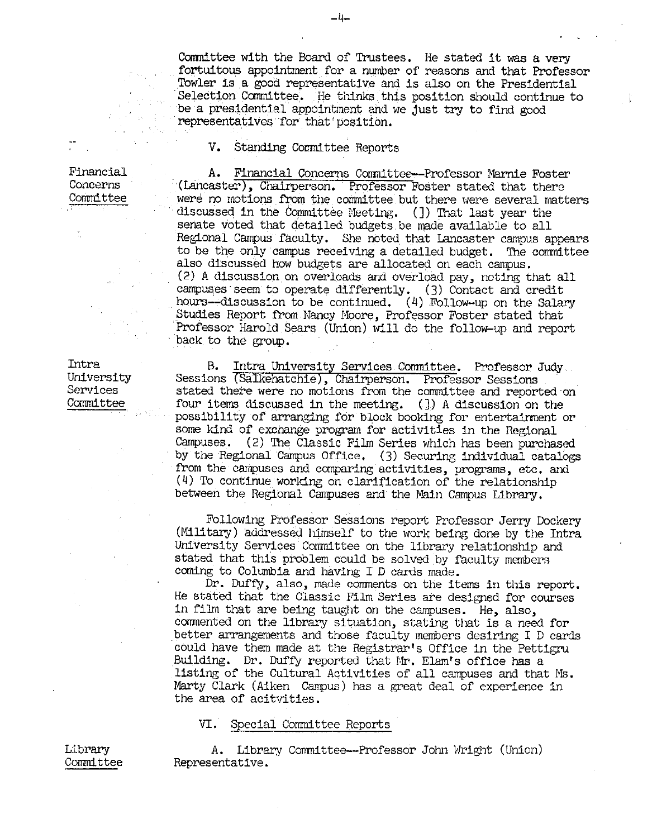Committee with the Board of Trustees. He stated it was a very fortuitous appointment for a number of reasons and that Professor Selection Committee. He thinks this position should continue to be a presidential appointment and we just try to find good representatives for that'position.

V. Standing Committee Reports

Financial Concerns Committee

A. Financial Concerns Committee--Professor Marnie Foster (Lancaster), Chairperson, Professor Foster stated that there were no motions from the committee but there were several matters discussed in the Comm1ttee Meeting. (]) That last year the senate voted that detailed budgets be made available to all Regional Campus faculty. She noted. t.hat Lancaster campus appears to be the only campus receiving a detailed budget. 1'he committee also discussed how budgets are allocated on each campus. (2) A discussion on overloads and overload pay, noting that all campuses seem to operate differently. (3) Contact and credit hours--discussion to be continued. (4) Follow-up on the Salary Studies Report from Nancy Moore, Professor Foster stated that Professor Harold Sears (Union) will do the follow-up and report back to the group.

Intra University Services Committee

B. Intra University Services Committee. Professor Judy Sessions (Salkehatchie), Chairperson. Professor Sessions stated there were no motions from the committee and reported on four items discussed in the meeting. (]) A discussion on the possibility of arranging for block booking for entertainment or some kind of exchange program for activities in the Regional Campuses. (2) The Classic Film Series which has been purchased by the Regional Campus Office. (3) Securing individual catalogs from the campuses and comparing activities, programs, etc. and (4) To continue working on clarification of the relationship between the Regional Campuses and the Main Campus Library.

Following Professor Sessions report Professor Jerry Dockery (Military) addressed himself to the work being done by the Intra University Services Committee on the library relationship and stated that this problem could be solved by faculty members coming to Columbia and having I D cards made.

Dr. Duffy, also, made comments on the items in this report. He stated that the Classic Film Series are designed for courses in film that are being taught on the campuses. He, also, commented on the library situation, stating that is a need for better arrangements and those faculty members desiring I D cards could have them made at the Registrar's Office in the Pettigru Building. Dr. Duffy reported that Mr. Elam's office has a listing of the Cultural Activities of all campuses and that Ms. Marty Clark (Aiken Campus) has a great deal of experience in the area of acitvities.

#### VI. Special Committee Reports

Library Committee

A. Library Committee--Professor John Wright (Union) Representative.

-4-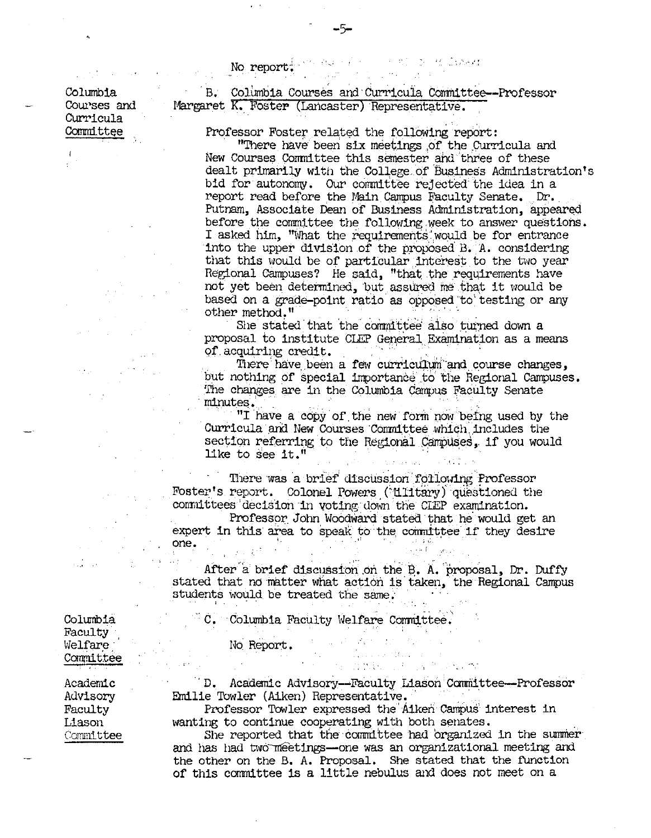$\mathcal{A}=\{1,2,\ldots,2\}$  . The magnitude  $\mathcal{A}$ No report:

Columbia Courses and Curricula **Committee** . B. Columbia Courses and Curricula Comm1ttee--Professor Margaret K. Foster (Lancaster) Representative. Professor Foster related the following report:

"There have been six meetings ,of the \_Curricula and New Courses Committee this semester and three of these dealt primarily with the College of Business Administration's bid for autonomy. Our committee rejected the idea in a report read before the Main Campus Faculty Senate. Dr. Putnam, Associate Dean of Business Administration, appeared before the committee the following week to answer questions. I asked him, "What the requirements would be for entrance into the upper division of the proposed  $B$ . A. considering that this would be of particular interest to the two year Regional Campuses? He said, "that the requirements have not yet been determined, but assured me that it would be based on a grade-point ratio as opposed to testing or any other method."

She stated that the committee also turned down a proposal to institute CLEP General Examination as a means of acquiring credit.

There have been a few curriculum and course changes, but nothing of special importance to the Regional Campuses. The changes are in the Columbia Campus Faculty Senate minutes.

minutes.<br>"I have a copy of the new form now being used by the Curricula and New Courses Committee which includes the section referring to the Regional Campuses, if you would like to see it."

There was a brief discussion following Professor Foster's report. Colonel Powers ('111tary) questioned the committees decision in voting down the CIEP examination. Professor John Woodward stated that he would get an

expert in this area to speak to the committee if they desire  $one.$   $\blacksquare$ 

After a brief discussion on the B. A. proposal, Dr. Duffy stated that no matter what action is taken, the Regional Campus students would be treated the same.

 $C.$  Columbia Faculty Welfare Committee.

Columbia. Faculty Welfare<sup>-</sup> Committee

Academic Advisory Faculty Liason Committee No Report,

D. Academic Advisory--Faculty Liason Committee-Professor

matika aliku

Emilie Towler (Aiken) Representative.<br>• Professor Towler expressed the Aiken Campus' interest in<br>• wanting to continue cooperating with both senates.

She reported that the committee had organized in the summer and has had two meetings-one was an organizational meeting and the other on the B. A. Proposal. She stated that the function of this committee is a little nebulus and does not meet on a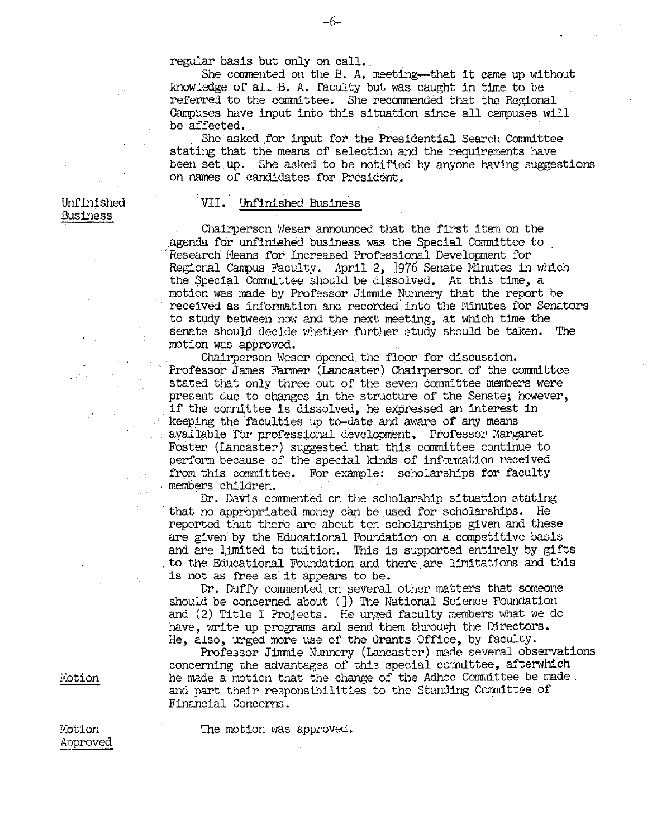regular basis but only on call.

She commented on the B. A. meeting--that it came up without knowledge of all  $B$ . A. faculty but was caught in time to be referred to the committee. She recommended that the Regional Campuses have input into this situation since all campuses will be affected,

Ť.

She asked for input for the Presidential Search Comnittee stating that the means of selection and the requirements have been set up. She asked to be notified by anyone having suggestions on names of candidates for President.

## Unfinished Business

#### VII. Unfinished Business

Chairperson Weser announced that the first item on the agenda for unfinished business was the Special Committee to 'Research Means for Increased Professional Development for Regional Campus Faculty. April 2, ]976 Senate Minutes in which the Special Committee should be dissolved. At this time, a motion was made by Professor Jimmie Nunnery that the report be received as information and recorded into the Minutes for Senators to study between now and the next meeting, at which time the senate should decide whether further study should be taken. The motion was approved.

Chairperson Weser opened the floor for discussion. Professor James Farmer (Lancaster) Chairperson of the committee stated that only three out of the seven committee members were present due to changes in the structure of the Senate; however, if the committee is dissolved, he expressed an interest in keeping the faculties up to~date and aware of any means available for professional development. Professor Margaret Foster (Iancaster) suggested that this committee continue to perform because of the special kinds of information received from this committee. For example: scholarships for faculty members children.

Dr. Davis commented on the scholarship situation stating that no appropriated money can be used for scholarships. He reported that there are about ten scholarships given and these are given by the Educational Foundation on a competitive basis and are limited to tuition. This is supported entirely by gifts to the Educational Foundation and there are limitations and this is not as free as it appears to be.

Dr. Duffy commented on several other matters that someone should be concerned about (]) The National Science Foundation and (2) Title I Projects. He urged faculty members what we do have, write up programs and send them through the Directors. He, also, urged more use of the Grants Office, by faculty.

Professor Jirmde Nunnery (Lancaster) made several observations concerning the advantages of this special committee, afterwhich he made a motion that the change of the Adhoc Committee be made and part their responsibilities to the Standing Committee of Financial Concerns.

The motion was approved.

Motion

Motion Anproved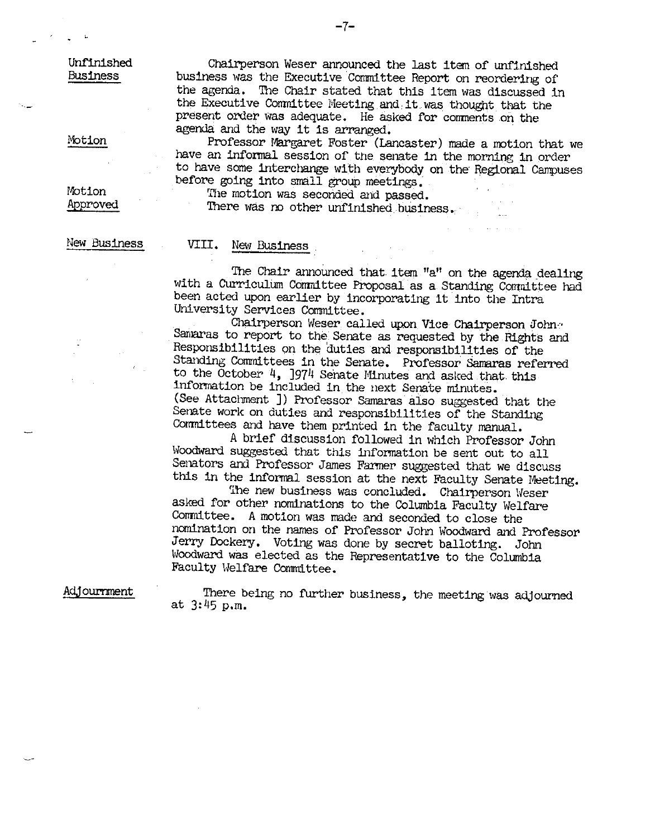Unfinished Business

۲,

Motion

Motion Approved

New Business

## VIII. New Business

The Chair announced that item "a" on the agenda dealing with a Curriculum Committee Proposal as a Standing Committee had been acted upon earlier by incorporating it into the Intra University Services Committee. Chairperson

Samaras to report to the Senate as requested by the Rights and<br>Responsibilities on the duties and responsibilities of the<br>Standing Committees in the Senate. Professor Samaras referred to the October  $4$ , ]974 Senate Minutes and asked that this information be included in the next Senate minutes. (See Attachment]) Professor Samaras aiso suggested that the Senate work on duties and responsibilities of the Standing Corrmittees and have them printed in the faculty manual.

<sup>A</sup>brief discussion followed in which Professor John Woodward suggested that this infonnation be sent out to all Senators and Professor James Fanner suggested that we discuss

this in the informal session at the next Faculty Senate Meeting.<br>The new business was concluded. Chairperson Weser<br>asked for other nominations to the Columbia Faculty Welfare<br>Committee. A motion was made and seconded to cl Jerry Dockery. Voting was done by secret balloting. John Woodward was elected as the Representative to the Columbia Faculty Welfare Committee.

Adjournment

There being no further business, the meeting was adjourned at 3: 45 p,m.

Chairperson Weser announced the last item of unfinished business was the Executive Committee Report on reordering of

the agenda. The Chair stated that this item was discussed in the Executive Conrnittee Meeting and it.was thought that the

agenda and the way it is arranged.<br>Professor Margaret Foster (Lancaster) made a motion that we<br>have an informal session of the senate in the morning in order

to have some interchange with everybody on the Regional Campuses<br>before going into small group meetings. The motion was seconded and passed.<br>There was no other unfinished business.

present order was adequate. He asked for comments on the